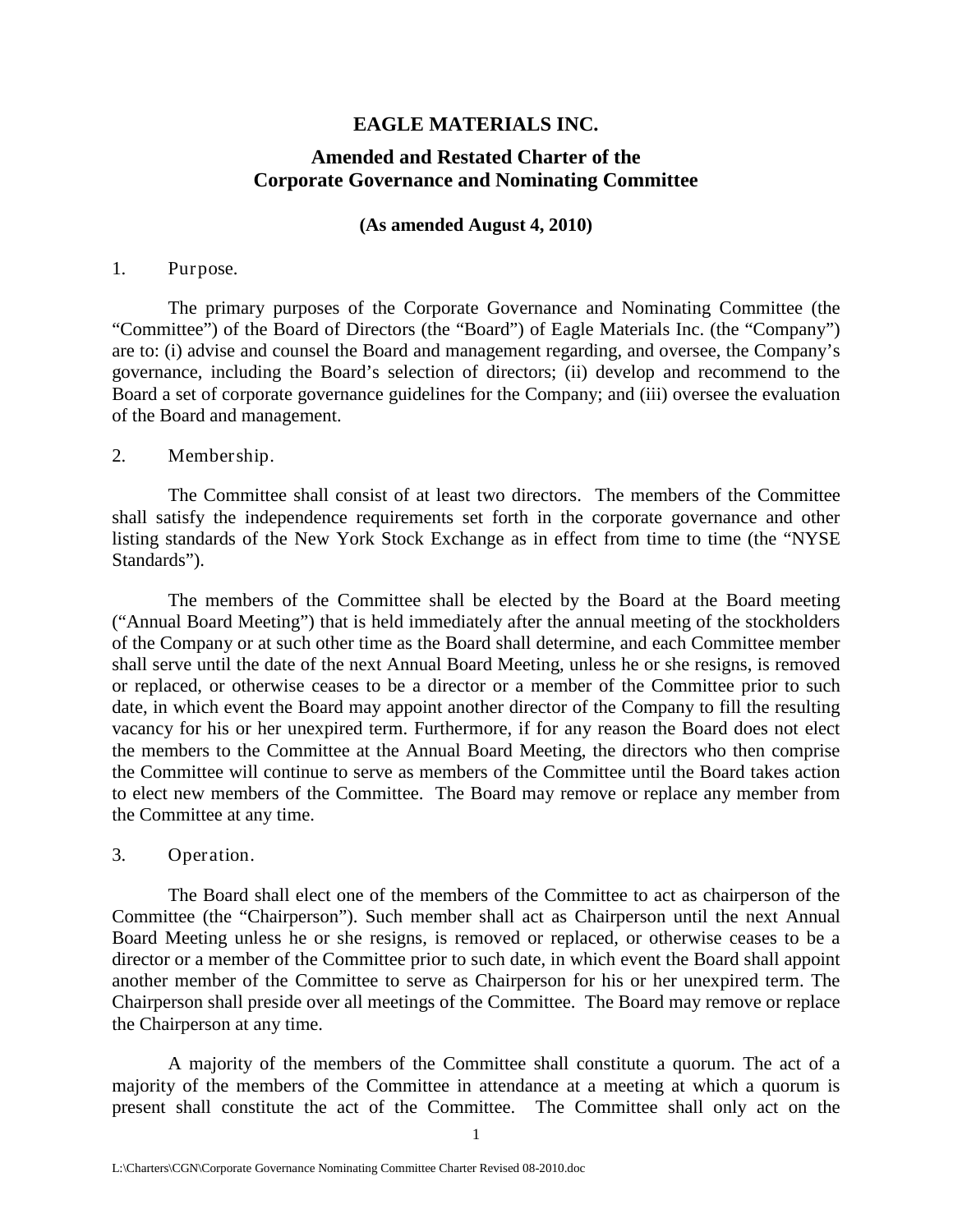## **EAGLE MATERIALS INC.**

# **Amended and Restated Charter of the Corporate Governance and Nominating Committee**

#### **(As amended August 4, 2010)**

#### 1. Purpose.

The primary purposes of the Corporate Governance and Nominating Committee (the "Committee") of the Board of Directors (the "Board") of Eagle Materials Inc. (the "Company") are to: (i) advise and counsel the Board and management regarding, and oversee, the Company's governance, including the Board's selection of directors; (ii) develop and recommend to the Board a set of corporate governance guidelines for the Company; and (iii) oversee the evaluation of the Board and management.

### 2. Membership.

The Committee shall consist of at least two directors. The members of the Committee shall satisfy the independence requirements set forth in the corporate governance and other listing standards of the New York Stock Exchange as in effect from time to time (the "NYSE Standards").

The members of the Committee shall be elected by the Board at the Board meeting ("Annual Board Meeting") that is held immediately after the annual meeting of the stockholders of the Company or at such other time as the Board shall determine, and each Committee member shall serve until the date of the next Annual Board Meeting, unless he or she resigns, is removed or replaced, or otherwise ceases to be a director or a member of the Committee prior to such date, in which event the Board may appoint another director of the Company to fill the resulting vacancy for his or her unexpired term. Furthermore, if for any reason the Board does not elect the members to the Committee at the Annual Board Meeting, the directors who then comprise the Committee will continue to serve as members of the Committee until the Board takes action to elect new members of the Committee. The Board may remove or replace any member from the Committee at any time.

#### 3. Operation.

The Board shall elect one of the members of the Committee to act as chairperson of the Committee (the "Chairperson"). Such member shall act as Chairperson until the next Annual Board Meeting unless he or she resigns, is removed or replaced, or otherwise ceases to be a director or a member of the Committee prior to such date, in which event the Board shall appoint another member of the Committee to serve as Chairperson for his or her unexpired term. The Chairperson shall preside over all meetings of the Committee. The Board may remove or replace the Chairperson at any time.

A majority of the members of the Committee shall constitute a quorum. The act of a majority of the members of the Committee in attendance at a meeting at which a quorum is present shall constitute the act of the Committee. The Committee shall only act on the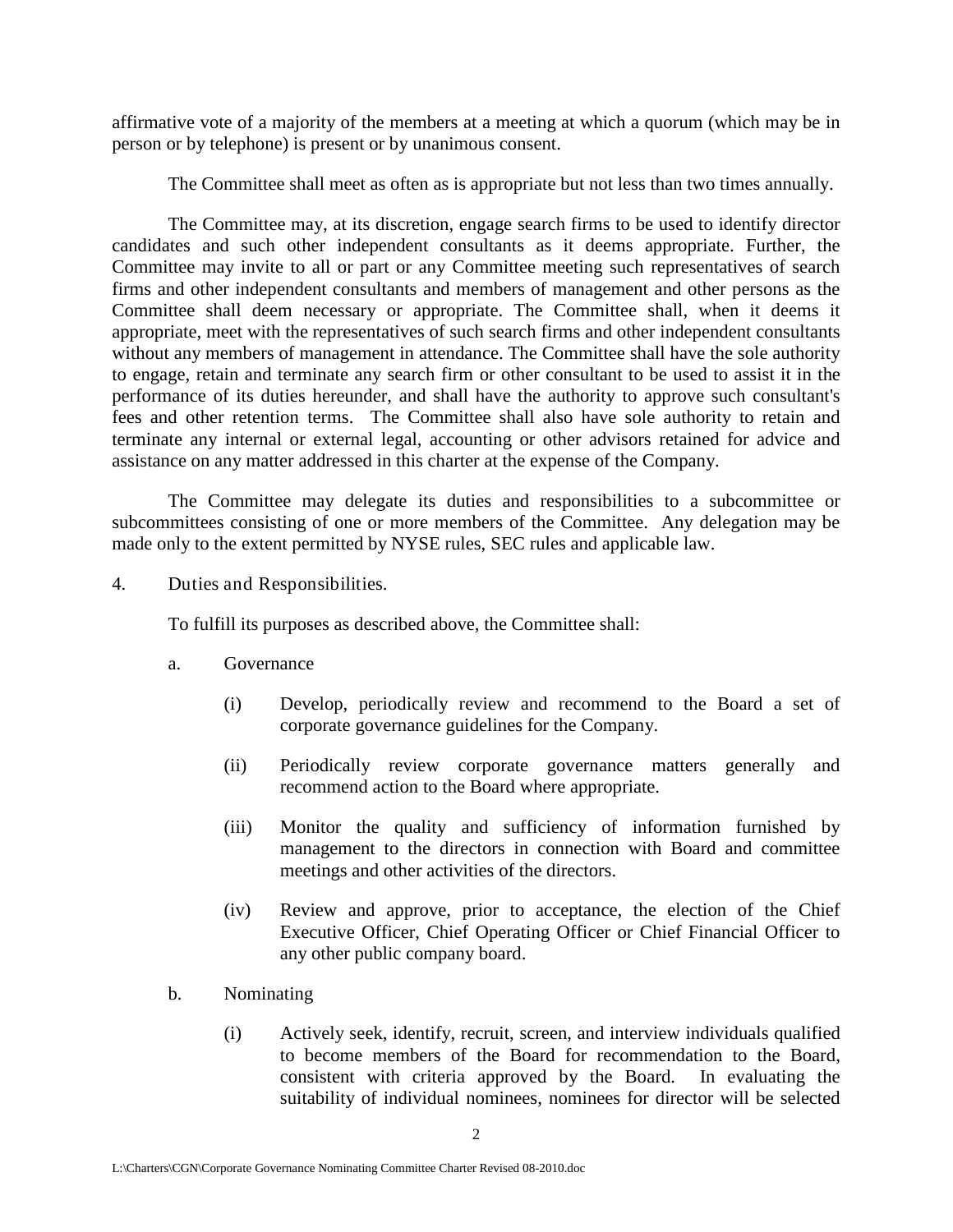affirmative vote of a majority of the members at a meeting at which a quorum (which may be in person or by telephone) is present or by unanimous consent.

The Committee shall meet as often as is appropriate but not less than two times annually.

The Committee may, at its discretion, engage search firms to be used to identify director candidates and such other independent consultants as it deems appropriate. Further, the Committee may invite to all or part or any Committee meeting such representatives of search firms and other independent consultants and members of management and other persons as the Committee shall deem necessary or appropriate. The Committee shall, when it deems it appropriate, meet with the representatives of such search firms and other independent consultants without any members of management in attendance. The Committee shall have the sole authority to engage, retain and terminate any search firm or other consultant to be used to assist it in the performance of its duties hereunder, and shall have the authority to approve such consultant's fees and other retention terms. The Committee shall also have sole authority to retain and terminate any internal or external legal, accounting or other advisors retained for advice and assistance on any matter addressed in this charter at the expense of the Company.

The Committee may delegate its duties and responsibilities to a subcommittee or subcommittees consisting of one or more members of the Committee. Any delegation may be made only to the extent permitted by NYSE rules, SEC rules and applicable law.

4. Duties and Responsibilities.

To fulfill its purposes as described above, the Committee shall:

- a. Governance
	- (i) Develop, periodically review and recommend to the Board a set of corporate governance guidelines for the Company.
	- (ii) Periodically review corporate governance matters generally and recommend action to the Board where appropriate.
	- (iii) Monitor the quality and sufficiency of information furnished by management to the directors in connection with Board and committee meetings and other activities of the directors.
	- (iv) Review and approve, prior to acceptance, the election of the Chief Executive Officer, Chief Operating Officer or Chief Financial Officer to any other public company board.
- b. Nominating
	- (i) Actively seek, identify, recruit, screen, and interview individuals qualified to become members of the Board for recommendation to the Board, consistent with criteria approved by the Board. In evaluating the suitability of individual nominees, nominees for director will be selected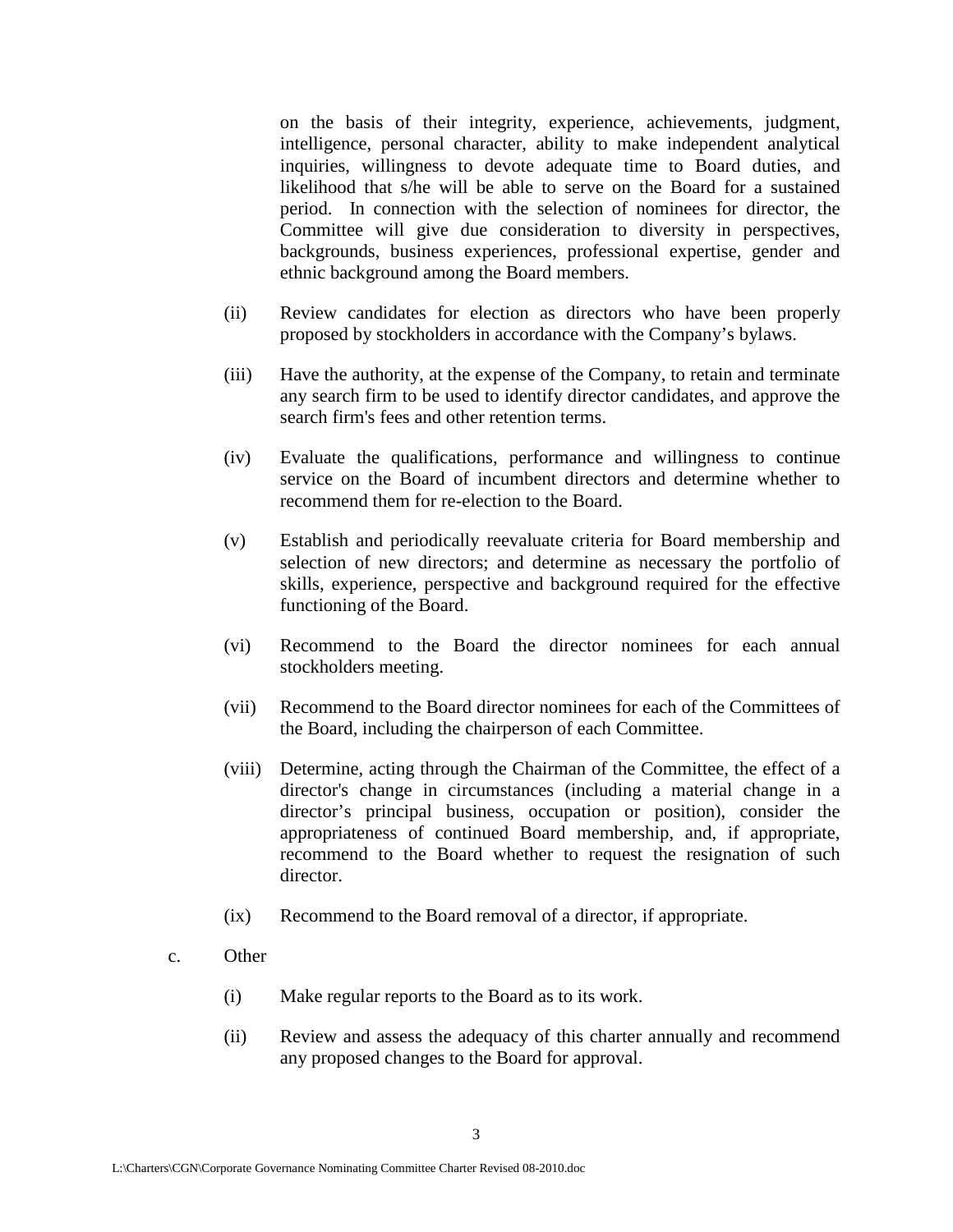on the basis of their integrity, experience, achievements, judgment, intelligence, personal character, ability to make independent analytical inquiries, willingness to devote adequate time to Board duties, and likelihood that s/he will be able to serve on the Board for a sustained period. In connection with the selection of nominees for director, the Committee will give due consideration to diversity in perspectives, backgrounds, business experiences, professional expertise, gender and ethnic background among the Board members.

- (ii) Review candidates for election as directors who have been properly proposed by stockholders in accordance with the Company's bylaws.
- (iii) Have the authority, at the expense of the Company, to retain and terminate any search firm to be used to identify director candidates, and approve the search firm's fees and other retention terms.
- (iv) Evaluate the qualifications, performance and willingness to continue service on the Board of incumbent directors and determine whether to recommend them for re-election to the Board.
- (v) Establish and periodically reevaluate criteria for Board membership and selection of new directors; and determine as necessary the portfolio of skills, experience, perspective and background required for the effective functioning of the Board.
- (vi) Recommend to the Board the director nominees for each annual stockholders meeting.
- (vii) Recommend to the Board director nominees for each of the Committees of the Board, including the chairperson of each Committee.
- (viii) Determine, acting through the Chairman of the Committee, the effect of a director's change in circumstances (including a material change in a director's principal business, occupation or position), consider the appropriateness of continued Board membership, and, if appropriate, recommend to the Board whether to request the resignation of such director.
- (ix) Recommend to the Board removal of a director, if appropriate.
- c. Other
	- (i) Make regular reports to the Board as to its work.
	- (ii) Review and assess the adequacy of this charter annually and recommend any proposed changes to the Board for approval.